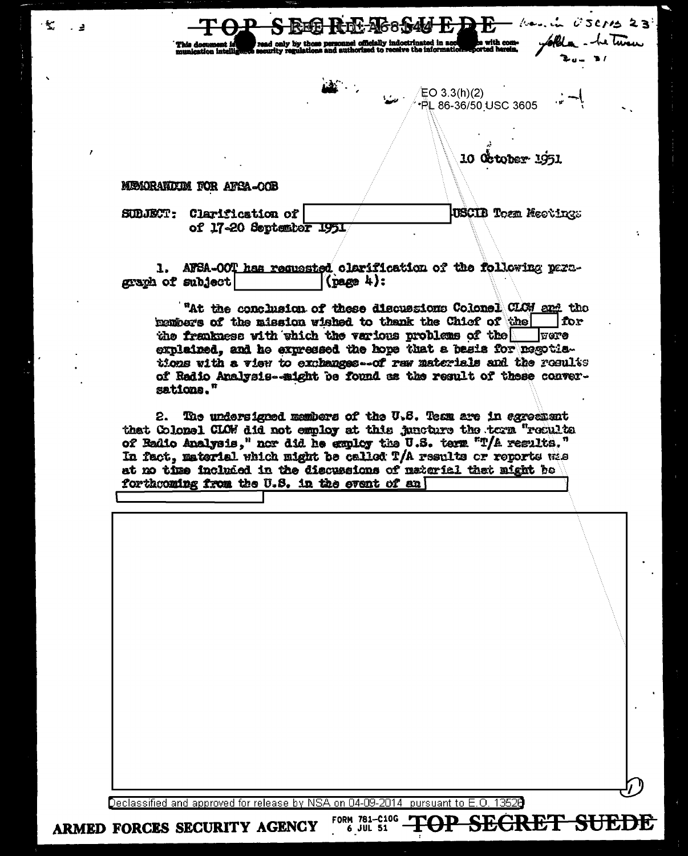ily by those personnel officially<br>regulations and authorized to

10 October 1951

**JUSCIB Tozn Meetings** 

 $EO$  3.3(h)(2)

**PL 86-36/50 USC 3605** 

 $k$  ...  $\mu$   $\beta$  SCMs 23

he twee

## MEMORANDUM FOR AFSA-OOB

 $\cdot$  .

د -

SUBJECT: Clarification of of 17-20 September 1951

1. AFSA-OOT has requested clarification of the following paragraph of subject  $(\text{page 4})$ :

"At the conclusion of these discussions Colonel CLCH and the members of the mission wished to thenk the Chief of the for the frankness with thich the various problems of the vere explained, and he expressed the hope that a basis for negotiations with a view to exchanges-of rew materials and the results of Radio Analysis--might be found as the result of these conversations."

The undersigned members of the U.S. Team are in egreement 2. that Colonel CLOW did not employ at this juncture the term "recults of Badio Analysis," nor did he employ the U.S. term "T/A results." In fact, material which might be called T/A results or reports wie at no time included in the discussions of material that might be forthcoming from the U.S. in the event of an